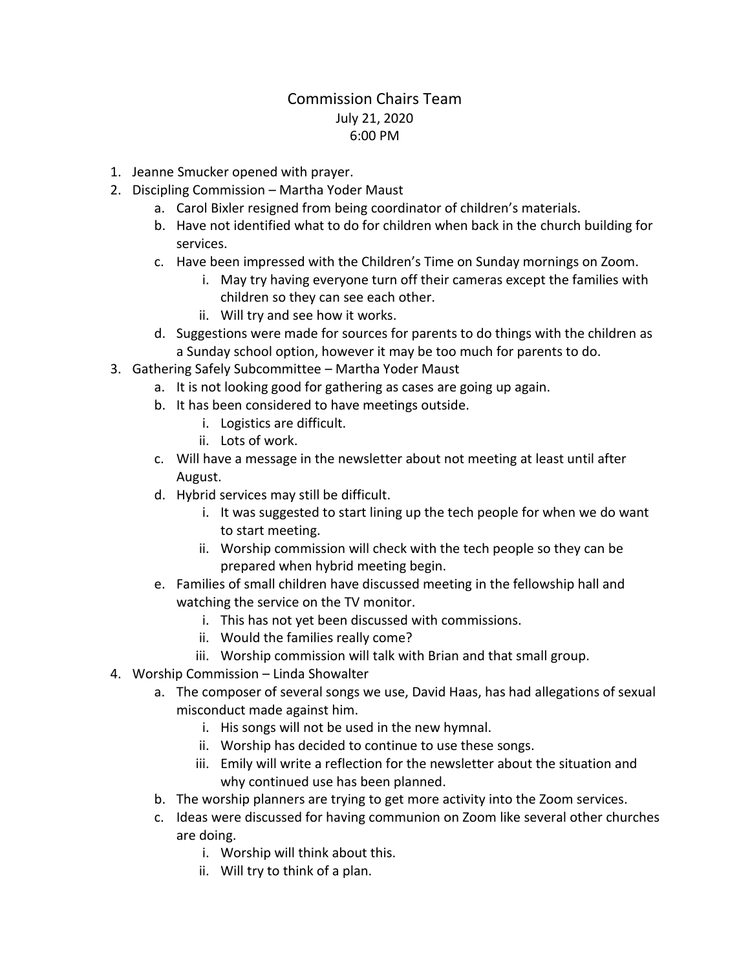## Commission Chairs Team July 21, 2020 6:00 PM

- 1. Jeanne Smucker opened with prayer.
- 2. Discipling Commission Martha Yoder Maust
	- a. Carol Bixler resigned from being coordinator of children's materials.
	- b. Have not identified what to do for children when back in the church building for services.
	- c. Have been impressed with the Children's Time on Sunday mornings on Zoom.
		- i. May try having everyone turn off their cameras except the families with children so they can see each other.
		- ii. Will try and see how it works.
	- d. Suggestions were made for sources for parents to do things with the children as a Sunday school option, however it may be too much for parents to do.
- 3. Gathering Safely Subcommittee Martha Yoder Maust
	- a. It is not looking good for gathering as cases are going up again.
	- b. It has been considered to have meetings outside.
		- i. Logistics are difficult.
		- ii. Lots of work.
	- c. Will have a message in the newsletter about not meeting at least until after August.
	- d. Hybrid services may still be difficult.
		- i. It was suggested to start lining up the tech people for when we do want to start meeting.
		- ii. Worship commission will check with the tech people so they can be prepared when hybrid meeting begin.
	- e. Families of small children have discussed meeting in the fellowship hall and watching the service on the TV monitor.
		- i. This has not yet been discussed with commissions.
		- ii. Would the families really come?
		- iii. Worship commission will talk with Brian and that small group.
- 4. Worship Commission Linda Showalter
	- a. The composer of several songs we use, David Haas, has had allegations of sexual misconduct made against him.
		- i. His songs will not be used in the new hymnal.
		- ii. Worship has decided to continue to use these songs.
		- iii. Emily will write a reflection for the newsletter about the situation and why continued use has been planned.
	- b. The worship planners are trying to get more activity into the Zoom services.
	- c. Ideas were discussed for having communion on Zoom like several other churches are doing.
		- i. Worship will think about this.
		- ii. Will try to think of a plan.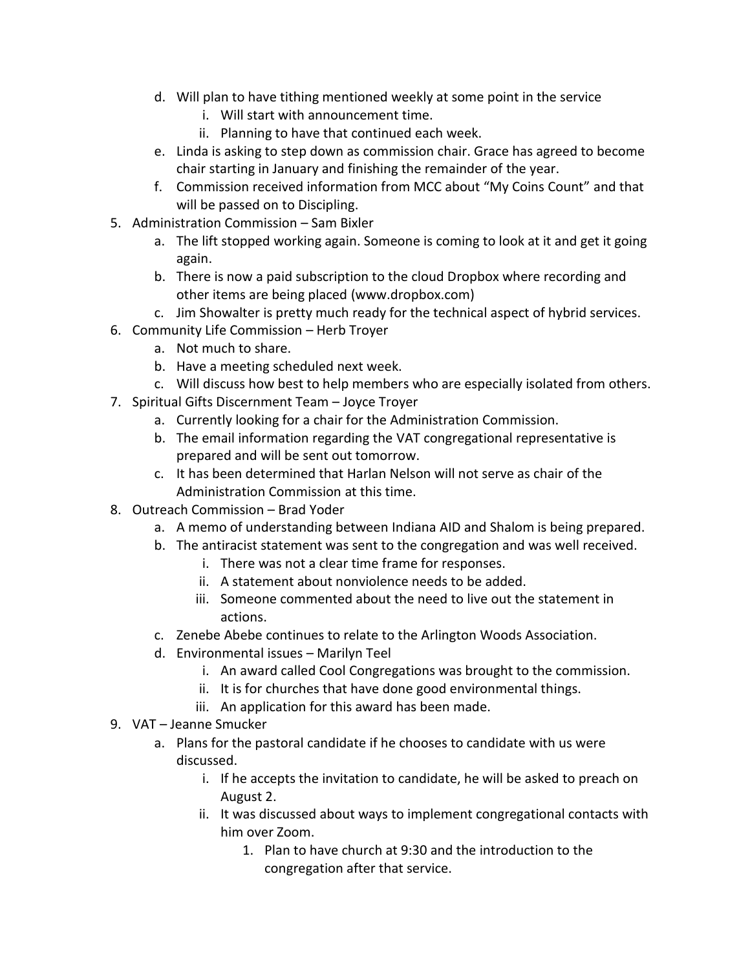- d. Will plan to have tithing mentioned weekly at some point in the service
	- i. Will start with announcement time.
	- ii. Planning to have that continued each week.
- e. Linda is asking to step down as commission chair. Grace has agreed to become chair starting in January and finishing the remainder of the year.
- f. Commission received information from MCC about "My Coins Count" and that will be passed on to Discipling.
- 5. Administration Commission Sam Bixler
	- a. The lift stopped working again. Someone is coming to look at it and get it going again.
	- b. There is now a paid subscription to the cloud Dropbox where recording and other items are being placed (www.dropbox.com)
	- c. Jim Showalter is pretty much ready for the technical aspect of hybrid services.
- 6. Community Life Commission Herb Troyer
	- a. Not much to share.
	- b. Have a meeting scheduled next week.
	- c. Will discuss how best to help members who are especially isolated from others.
- 7. Spiritual Gifts Discernment Team Joyce Troyer
	- a. Currently looking for a chair for the Administration Commission.
	- b. The email information regarding the VAT congregational representative is prepared and will be sent out tomorrow.
	- c. It has been determined that Harlan Nelson will not serve as chair of the Administration Commission at this time.
- 8. Outreach Commission Brad Yoder
	- a. A memo of understanding between Indiana AID and Shalom is being prepared.
	- b. The antiracist statement was sent to the congregation and was well received.
		- i. There was not a clear time frame for responses.
		- ii. A statement about nonviolence needs to be added.
		- iii. Someone commented about the need to live out the statement in actions.
	- c. Zenebe Abebe continues to relate to the Arlington Woods Association.
	- d. Environmental issues Marilyn Teel
		- i. An award called Cool Congregations was brought to the commission.
		- ii. It is for churches that have done good environmental things.
		- iii. An application for this award has been made.
- 9. VAT Jeanne Smucker
	- a. Plans for the pastoral candidate if he chooses to candidate with us were discussed.
		- i. If he accepts the invitation to candidate, he will be asked to preach on August 2.
		- ii. It was discussed about ways to implement congregational contacts with him over Zoom.
			- 1. Plan to have church at 9:30 and the introduction to the congregation after that service.